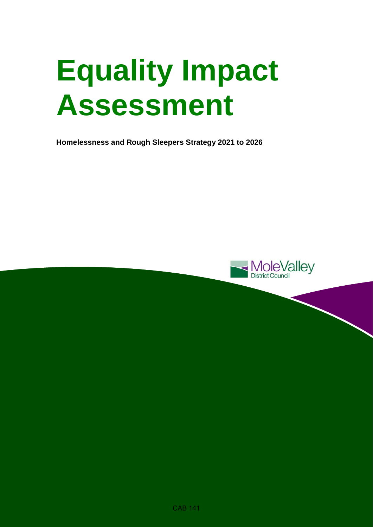# **Equality Impact Assessment**

**Homelessness and Rough Sleepers Strategy 2021 to 2026**

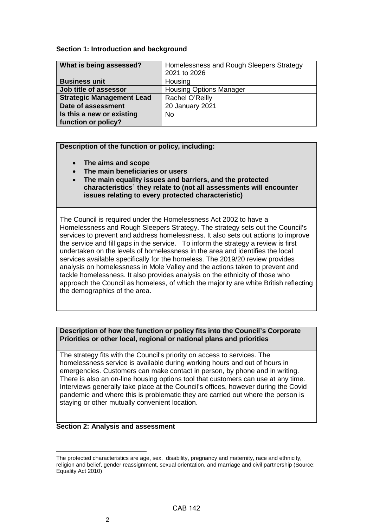# **Section 1: Introduction and background**

| What is being assessed?          | Homelessness and Rough Sleepers Strategy |  |  |
|----------------------------------|------------------------------------------|--|--|
|                                  | 2021 to 2026                             |  |  |
| <b>Business unit</b>             | Housing                                  |  |  |
| Job title of assessor            | <b>Housing Options Manager</b>           |  |  |
| <b>Strategic Management Lead</b> | Rachel O'Reilly                          |  |  |
| Date of assessment               | <b>20 January 2021</b>                   |  |  |
| Is this a new or existing        | <b>No</b>                                |  |  |
| function or policy?              |                                          |  |  |

### **Description of the function or policy, including:**

- **The aims and scope**
- **The main beneficiaries or users**
- **The main equality issues and barriers, and the protected characteristics**[1](#page-1-0) **they relate to (not all assessments will encounter issues relating to every protected characteristic)**

The Council is required under the Homelessness Act 2002 to have a Homelessness and Rough Sleepers Strategy. The strategy sets out the Council's services to prevent and address homelessness. It also sets out actions to improve the service and fill gaps in the service. To inform the strategy a review is first undertaken on the levels of homelessness in the area and identifies the local services available specifically for the homeless. The 2019/20 review provides analysis on homelessness in Mole Valley and the actions taken to prevent and tackle homelessness. It also provides analysis on the ethnicity of those who approach the Council as homeless, of which the majority are white British reflecting the demographics of the area.

# **Description of how the function or policy fits into the Council's Corporate Priorities or other local, regional or national plans and priorities**

The strategy fits with the Council's priority on access to services. The homelessness service is available during working hours and out of hours in emergencies. Customers can make contact in person, by phone and in writing. There is also an on-line housing options tool that customers can use at any time. Interviews generally take place at the Council's offices, however during the Covid pandemic and where this is problematic they are carried out where the person is staying or other mutually convenient location.

#### **Section 2: Analysis and assessment**

<span id="page-1-0"></span> $\overline{a}$ The protected characteristics are age, sex, disability, pregnancy and maternity, race and ethnicity, religion and belief, gender reassignment, sexual orientation, and marriage and civil partnership (Source: Equality Act 2010)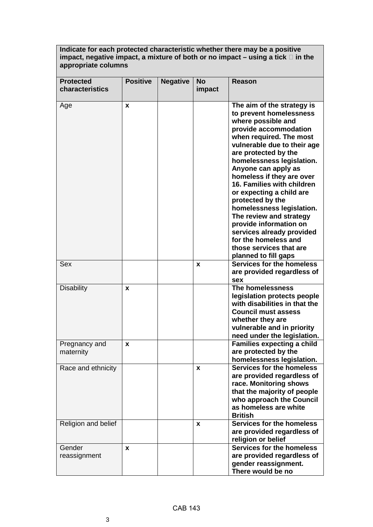**Indicate for each protected characteristic whether there may be a positive impact, negative impact, a mixture of both or no impact – using a tick in the appropriate columns** 

| <b>Protected</b><br>characteristics | <b>Positive</b> | <b>Negative</b> | <b>No</b><br>impact | <b>Reason</b>                                                                                                                                                                                                                                                                                                                                                                                                                                                                                                                                   |
|-------------------------------------|-----------------|-----------------|---------------------|-------------------------------------------------------------------------------------------------------------------------------------------------------------------------------------------------------------------------------------------------------------------------------------------------------------------------------------------------------------------------------------------------------------------------------------------------------------------------------------------------------------------------------------------------|
| Age                                 | X               |                 |                     | The aim of the strategy is<br>to prevent homelessness<br>where possible and<br>provide accommodation<br>when required. The most<br>vulnerable due to their age<br>are protected by the<br>homelessness legislation.<br>Anyone can apply as<br>homeless if they are over<br>16. Families with children<br>or expecting a child are<br>protected by the<br>homelessness legislation.<br>The review and strategy<br>provide information on<br>services already provided<br>for the homeless and<br>those services that are<br>planned to fill gaps |
| Sex                                 |                 |                 | X                   | <b>Services for the homeless</b><br>are provided regardless of<br>sex                                                                                                                                                                                                                                                                                                                                                                                                                                                                           |
| <b>Disability</b>                   | X               |                 |                     | The homelessness<br>legislation protects people<br>with disabilities in that the<br><b>Council must assess</b><br>whether they are<br>vulnerable and in priority<br>need under the legislation.                                                                                                                                                                                                                                                                                                                                                 |
| Pregnancy and<br>maternity          | X               |                 |                     | <b>Families expecting a child</b><br>are protected by the<br>homelessness legislation.                                                                                                                                                                                                                                                                                                                                                                                                                                                          |
| Race and ethnicity                  |                 |                 | X                   | Services for the homeless<br>are provided regardless of<br>race. Monitoring shows<br>that the majority of people<br>who approach the Council<br>as homeless are white<br><b>British</b>                                                                                                                                                                                                                                                                                                                                                         |
| Religion and belief                 |                 |                 | x                   | Services for the homeless<br>are provided regardless of<br>religion or belief                                                                                                                                                                                                                                                                                                                                                                                                                                                                   |
| Gender<br>reassignment              | X               |                 |                     | Services for the homeless<br>are provided regardless of<br>gender reassignment.<br>There would be no                                                                                                                                                                                                                                                                                                                                                                                                                                            |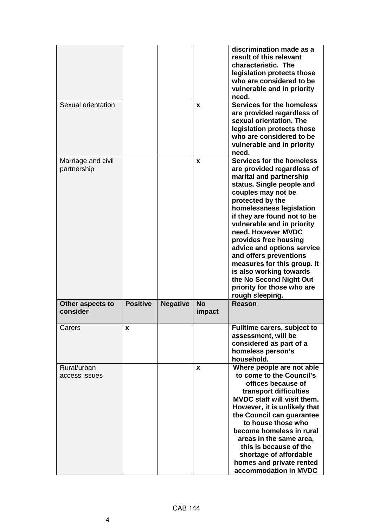|                                   |                 |                 |                     | discrimination made as a<br>result of this relevant<br>characteristic. The<br>legislation protects those<br>who are considered to be<br>vulnerable and in priority<br>need.                                                                                                                                                                                                                                                                                                                     |
|-----------------------------------|-----------------|-----------------|---------------------|-------------------------------------------------------------------------------------------------------------------------------------------------------------------------------------------------------------------------------------------------------------------------------------------------------------------------------------------------------------------------------------------------------------------------------------------------------------------------------------------------|
| Sexual orientation                |                 |                 | X                   | Services for the homeless<br>are provided regardless of<br>sexual orientation. The<br>legislation protects those<br>who are considered to be<br>vulnerable and in priority<br>need.                                                                                                                                                                                                                                                                                                             |
| Marriage and civil<br>partnership |                 |                 | X                   | Services for the homeless<br>are provided regardless of<br>marital and partnership<br>status. Single people and<br>couples may not be<br>protected by the<br>homelessness legislation<br>if they are found not to be<br>vulnerable and in priority<br>need. However MVDC<br>provides free housing<br>advice and options service<br>and offers preventions<br>measures for this group. It<br>is also working towards<br>the No Second Night Out<br>priority for those who are<br>rough sleeping. |
| Other aspects to<br>consider      | <b>Positive</b> | <b>Negative</b> | <b>No</b><br>impact | <b>Reason</b>                                                                                                                                                                                                                                                                                                                                                                                                                                                                                   |
| Carers                            | x               |                 |                     | Fulltime carers, subject to<br>assessment, will be<br>considered as part of a<br>homeless person's<br>household.                                                                                                                                                                                                                                                                                                                                                                                |
| Rural/urban<br>access issues      |                 |                 | X                   | Where people are not able<br>to come to the Council's<br>offices because of<br>transport difficulties<br>MVDC staff will visit them.<br>However, it is unlikely that<br>the Council can guarantee<br>to house those who<br>become homeless in rural<br>areas in the same area,<br>this is because of the<br>shortage of affordable<br>homes and private rented<br>accommodation in MVDC                                                                                                         |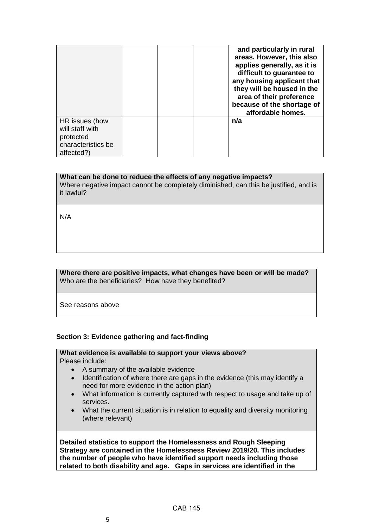|                              |  | and particularly in rural<br>areas. However, this also<br>applies generally, as it is<br>difficult to guarantee to<br>any housing applicant that<br>they will be housed in the<br>area of their preference<br>because of the shortage of<br>affordable homes. |
|------------------------------|--|---------------------------------------------------------------------------------------------------------------------------------------------------------------------------------------------------------------------------------------------------------------|
| HR issues (how               |  | n/a                                                                                                                                                                                                                                                           |
| will staff with<br>protected |  |                                                                                                                                                                                                                                                               |
| characteristics be           |  |                                                                                                                                                                                                                                                               |
|                              |  |                                                                                                                                                                                                                                                               |
| affected?)                   |  |                                                                                                                                                                                                                                                               |

### **What can be done to reduce the effects of any negative impacts?**

Where negative impact cannot be completely diminished, can this be justified, and is it lawful?

N/A

### **Where there are positive impacts, what changes have been or will be made?**  Who are the beneficiaries? How have they benefited?

See reasons above

#### **Section 3: Evidence gathering and fact-finding**

#### **What evidence is available to support your views above?**  Please include:

- A summary of the available evidence
- Identification of where there are gaps in the evidence (this may identify a need for more evidence in the action plan)
- What information is currently captured with respect to usage and take up of services.
- What the current situation is in relation to equality and diversity monitoring (where relevant)

**Detailed statistics to support the Homelessness and Rough Sleeping Strategy are contained in the Homelessness Review 2019/20. This includes the number of people who have identified support needs including those related to both disability and age. Gaps in services are identified in the**